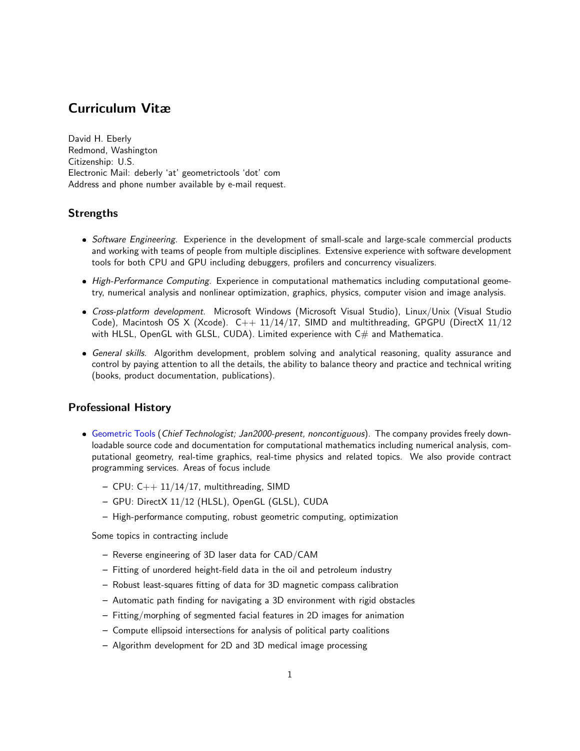# Curriculum Vitæ

David H. Eberly Redmond, Washington Citizenship: U.S. Electronic Mail: deberly 'at' geometrictools 'dot' com Address and phone number available by e-mail request.

## Strengths

- Software Engineering. Experience in the development of small-scale and large-scale commercial products and working with teams of people from multiple disciplines. Extensive experience with software development tools for both CPU and GPU including debuggers, profilers and concurrency visualizers.
- High-Performance Computing. Experience in computational mathematics including computational geometry, numerical analysis and nonlinear optimization, graphics, physics, computer vision and image analysis.
- Cross-platform development. Microsoft Windows (Microsoft Visual Studio), Linux/Unix (Visual Studio Code), Macintosh OS X (Xcode).  $C_{++}$  11/14/17, SIMD and multithreading, GPGPU (DirectX 11/12 with HLSL, OpenGL with GLSL, CUDA). Limited experience with C# and Mathematica.
- General skills. Algorithm development, problem solving and analytical reasoning, quality assurance and control by paying attention to all the details, the ability to balance theory and practice and technical writing (books, product documentation, publications).

### Professional History

- [Geometric Tools](https://www.geometrictools.com) (Chief Technologist; Jan2000-present, noncontiguous). The company provides freely downloadable source code and documentation for computational mathematics including numerical analysis, computational geometry, real-time graphics, real-time physics and related topics. We also provide contract programming services. Areas of focus include
	- $-$  CPU: C++ 11/14/17, multithreading, SIMD
	- GPU: DirectX 11/12 (HLSL), OpenGL (GLSL), CUDA
	- High-performance computing, robust geometric computing, optimization

Some topics in contracting include

- Reverse engineering of 3D laser data for CAD/CAM
- Fitting of unordered height-field data in the oil and petroleum industry
- Robust least-squares fitting of data for 3D magnetic compass calibration
- Automatic path finding for navigating a 3D environment with rigid obstacles
- Fitting/morphing of segmented facial features in 2D images for animation
- Compute ellipsoid intersections for analysis of political party coalitions
- Algorithm development for 2D and 3D medical image processing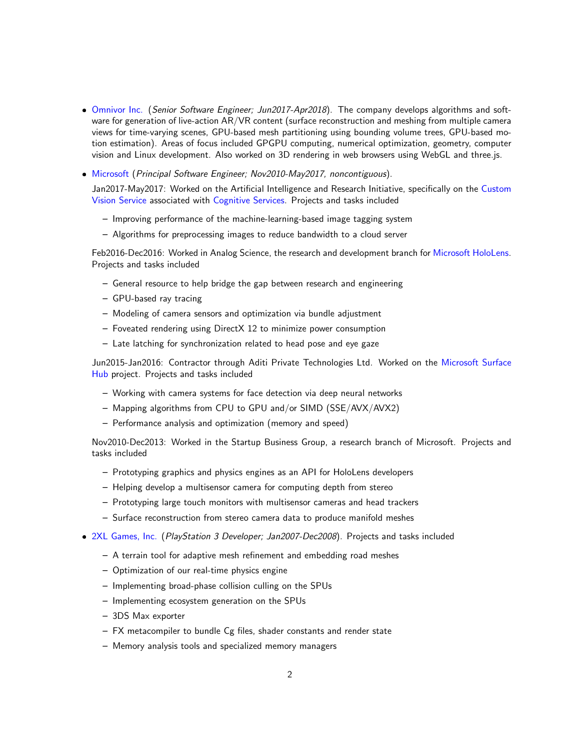- [Omnivor Inc.](http://omnivor.io) (Senior Software Engineer; Jun2017-Apr2018). The company develops algorithms and software for generation of live-action AR/VR content (surface reconstruction and meshing from multiple camera views for time-varying scenes, GPU-based mesh partitioning using bounding volume trees, GPU-based motion estimation). Areas of focus included GPGPU computing, numerical optimization, geometry, computer vision and Linux development. Also worked on 3D rendering in web browsers using WebGL and three.js.
- [Microsoft](https://www.microsoft.com/en-us/research/) (Principal Software Engineer; Nov2010-May2017, noncontiguous).

Jan2017-May2017: Worked on the Artificial Intelligence and Research Initiative, specifically on the [Custom](https://azure.microsoft.com/en-us/services/cognitive-services/) [Vision Service](https://azure.microsoft.com/en-us/services/cognitive-services/) associated with [Cognitive Services.](https://azure.microsoft.com/en-us/services/cognitive-services/custom-vision-service/) Projects and tasks included

- Improving performance of the machine-learning-based image tagging system
- Algorithms for preprocessing images to reduce bandwidth to a cloud server

Feb2016-Dec2016: Worked in Analog Science, the research and development branch for [Microsoft HoloLens.](https://www.microsoft.com/microsoft-hololens/en-us) Projects and tasks included

- General resource to help bridge the gap between research and engineering
- GPU-based ray tracing
- Modeling of camera sensors and optimization via bundle adjustment
- Foveated rendering using DirectX 12 to minimize power consumption
- Late latching for synchronization related to head pose and eye gaze

Jun2015-Jan2016: Contractor through Aditi Private Technologies Ltd. Worked on the [Microsoft Surface](https://www.microsoft.com/microsoft-surface-hub/en-us) [Hub](https://www.microsoft.com/microsoft-surface-hub/en-us) project. Projects and tasks included

- Working with camera systems for face detection via deep neural networks
- Mapping algorithms from CPU to GPU and/or SIMD (SSE/AVX/AVX2)
- Performance analysis and optimization (memory and speed)

Nov2010-Dec2013: Worked in the Startup Business Group, a research branch of Microsoft. Projects and tasks included

- Prototyping graphics and physics engines as an API for HoloLens developers
- Helping develop a multisensor camera for computing depth from stereo
- Prototyping large touch monitors with multisensor cameras and head trackers
- Surface reconstruction from stereo camera data to produce manifold meshes
- [2XL Games, Inc.](http://2xlgames.com) (PlayStation 3 Developer; Jan2007-Dec2008). Projects and tasks included
	- A terrain tool for adaptive mesh refinement and embedding road meshes
	- Optimization of our real-time physics engine
	- Implementing broad-phase collision culling on the SPUs
	- Implementing ecosystem generation on the SPUs
	- 3DS Max exporter
	- FX metacompiler to bundle Cg files, shader constants and render state
	- Memory analysis tools and specialized memory managers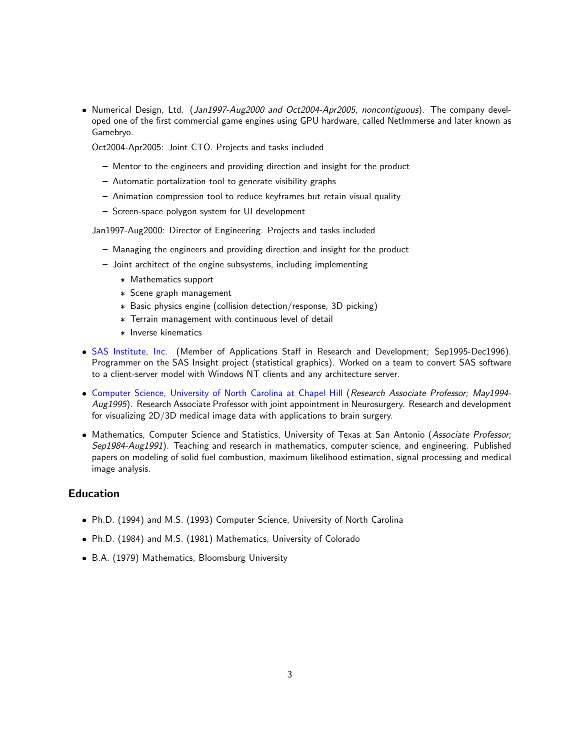• Numerical Design, Ltd. (Jan1997-Aug2000 and Oct2004-Apr2005, noncontiguous). The company developed one of the first commercial game engines using GPU hardware, called NetImmerse and later known as Gamebryo.

Oct2004-Apr2005: Joint CTO. Projects and tasks included

- Mentor to the engineers and providing direction and insight for the product
- Automatic portalization tool to generate visibility graphs
- Animation compression tool to reduce keyframes but retain visual quality
- Screen-space polygon system for UI development

Jan1997-Aug2000: Director of Engineering. Projects and tasks included

- Managing the engineers and providing direction and insight for the product
- Joint architect of the engine subsystems, including implementing
	- \* Mathematics support
	- \* Scene graph management
	- \* Basic physics engine (collision detection/response, 3D picking)
	- \* Terrain management with continuous level of detail
	- \* Inverse kinematics
- · [SAS Institute, Inc.](https://www.sas.com/en_us/home.html) (Member of Applications Staff in Research and Development; Sep1995-Dec1996). Programmer on the SAS Insight project (statistical graphics). Worked on a team to convert SAS software to a client-server model with Windows NT clients and any architecture server.
- [Computer Science, University of North Carolina at Chapel Hill](https://cs.unc.edu/) (Research Associate Professor; May1994-Aug1995). Research Associate Professor with joint appointment in Neurosurgery. Research and development for visualizing 2D/3D medical image data with applications to brain surgery.
- Mathematics, Computer Science and Statistics, University of Texas at San Antonio (Associate Professor; Sep1984-Aug1991). Teaching and research in mathematics, computer science, and engineering. Published papers on modeling of solid fuel combustion, maximum likelihood estimation, signal processing and medical image analysis.

#### Education

- Ph.D. (1994) and M.S. (1993) Computer Science, University of North Carolina
- Ph.D. (1984) and M.S. (1981) Mathematics, University of Colorado
- B.A. (1979) Mathematics, Bloomsburg University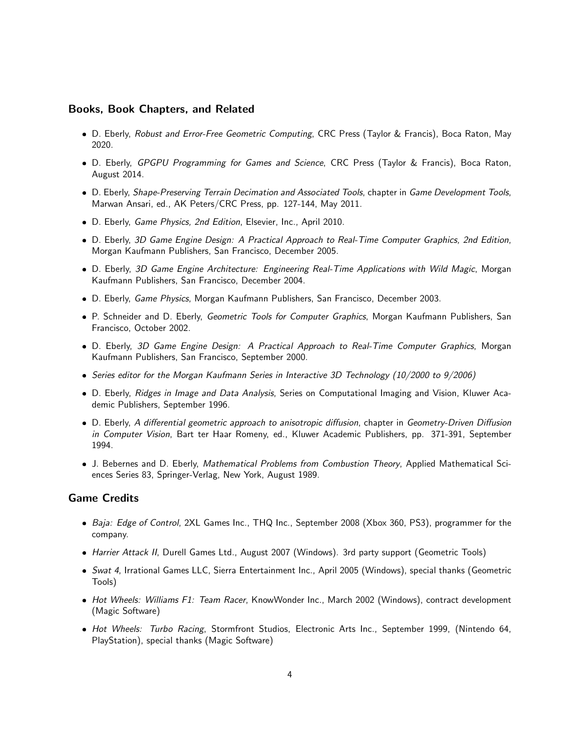#### Books, Book Chapters, and Related

- . D. Eberly, Robust and Error-Free Geometric Computing, CRC Press (Taylor & Francis), Boca Raton, May 2020.
- . D. Eberly, GPGPU Programming for Games and Science, CRC Press (Taylor & Francis), Boca Raton, August 2014.
- D. Eberly, Shape-Preserving Terrain Decimation and Associated Tools, chapter in Game Development Tools, Marwan Ansari, ed., AK Peters/CRC Press, pp. 127-144, May 2011.
- D. Eberly, Game Physics, 2nd Edition, Elsevier, Inc., April 2010.
- D. Eberly, 3D Game Engine Design: A Practical Approach to Real-Time Computer Graphics, 2nd Edition, Morgan Kaufmann Publishers, San Francisco, December 2005.
- D. Eberly, 3D Game Engine Architecture: Engineering Real-Time Applications with Wild Magic, Morgan Kaufmann Publishers, San Francisco, December 2004.
- D. Eberly, Game Physics, Morgan Kaufmann Publishers, San Francisco, December 2003.
- P. Schneider and D. Eberly, Geometric Tools for Computer Graphics, Morgan Kaufmann Publishers, San Francisco, October 2002.
- D. Eberly, 3D Game Engine Design: A Practical Approach to Real-Time Computer Graphics, Morgan Kaufmann Publishers, San Francisco, September 2000.
- Series editor for the Morgan Kaufmann Series in Interactive 3D Technology (10/2000 to 9/2006)
- . D. Eberly, Ridges in Image and Data Analysis, Series on Computational Imaging and Vision, Kluwer Academic Publishers, September 1996.
- D. Eberly, A differential geometric approach to anisotropic diffusion, chapter in Geometry-Driven Diffusion in Computer Vision, Bart ter Haar Romeny, ed., Kluwer Academic Publishers, pp. 371-391, September 1994.
- . J. Bebernes and D. Eberly, Mathematical Problems from Combustion Theory, Applied Mathematical Sciences Series 83, Springer-Verlag, New York, August 1989.

#### Game Credits

- Baja: Edge of Control, 2XL Games Inc., THQ Inc., September 2008 (Xbox 360, PS3), programmer for the company.
- Harrier Attack II, Durell Games Ltd., August 2007 (Windows). 3rd party support (Geometric Tools)
- Swat 4, Irrational Games LLC, Sierra Entertainment Inc., April 2005 (Windows), special thanks (Geometric Tools)
- Hot Wheels: Williams F1: Team Racer, KnowWonder Inc., March 2002 (Windows), contract development (Magic Software)
- · Hot Wheels: Turbo Racing, Stormfront Studios, Electronic Arts Inc., September 1999, (Nintendo 64, PlayStation), special thanks (Magic Software)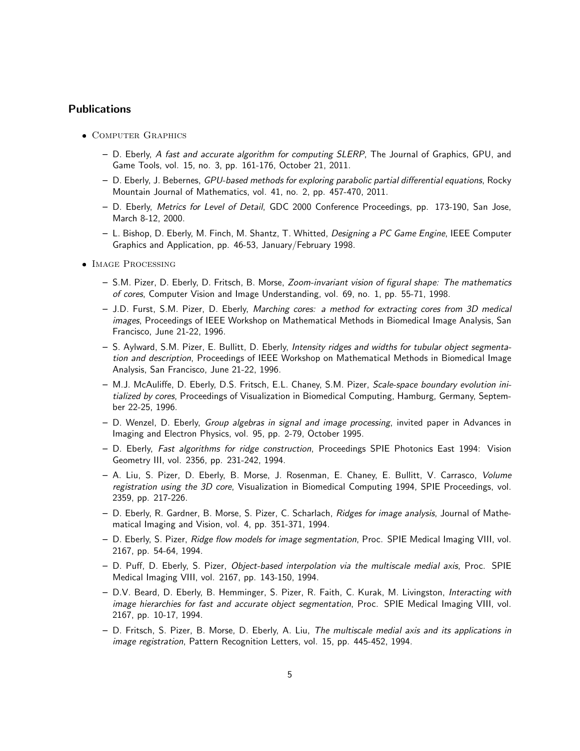#### Publications

- COMPUTER GRAPHICS
	- D. Eberly, A fast and accurate algorithm for computing SLERP, The Journal of Graphics, GPU, and Game Tools, vol. 15, no. 3, pp. 161-176, October 21, 2011.
	- D. Eberly, J. Bebernes, GPU-based methods for exploring parabolic partial differential equations, Rocky Mountain Journal of Mathematics, vol. 41, no. 2, pp. 457-470, 2011.
	- D. Eberly, Metrics for Level of Detail, GDC 2000 Conference Proceedings, pp. 173-190, San Jose, March 8-12, 2000.
	- L. Bishop, D. Eberly, M. Finch, M. Shantz, T. Whitted, Designing a PC Game Engine, IEEE Computer Graphics and Application, pp. 46-53, January/February 1998.
- **IMAGE PROCESSING** 
	- S.M. Pizer, D. Eberly, D. Fritsch, B. Morse, Zoom-invariant vision of figural shape: The mathematics of cores, Computer Vision and Image Understanding, vol. 69, no. 1, pp. 55-71, 1998.
	- J.D. Furst, S.M. Pizer, D. Eberly, Marching cores: a method for extracting cores from 3D medical images, Proceedings of IEEE Workshop on Mathematical Methods in Biomedical Image Analysis, San Francisco, June 21-22, 1996.
	- S. Aylward, S.M. Pizer, E. Bullitt, D. Eberly, Intensity ridges and widths for tubular object segmentation and description, Proceedings of IEEE Workshop on Mathematical Methods in Biomedical Image Analysis, San Francisco, June 21-22, 1996.
	- M.J. McAuliffe, D. Eberly, D.S. Fritsch, E.L. Chaney, S.M. Pizer, Scale-space boundary evolution initialized by cores, Proceedings of Visualization in Biomedical Computing, Hamburg, Germany, September 22-25, 1996.
	- D. Wenzel, D. Eberly, Group algebras in signal and image processing, invited paper in Advances in Imaging and Electron Physics, vol. 95, pp. 2-79, October 1995.
	- D. Eberly, Fast algorithms for ridge construction, Proceedings SPIE Photonics East 1994: Vision Geometry III, vol. 2356, pp. 231-242, 1994.
	- A. Liu, S. Pizer, D. Eberly, B. Morse, J. Rosenman, E. Chaney, E. Bullitt, V. Carrasco, Volume registration using the 3D core, Visualization in Biomedical Computing 1994, SPIE Proceedings, vol. 2359, pp. 217-226.
	- D. Eberly, R. Gardner, B. Morse, S. Pizer, C. Scharlach, Ridges for image analysis, Journal of Mathematical Imaging and Vision, vol. 4, pp. 351-371, 1994.
	- D. Eberly, S. Pizer, Ridge flow models for image segmentation, Proc. SPIE Medical Imaging VIII, vol. 2167, pp. 54-64, 1994.
	- D. Puff, D. Eberly, S. Pizer, Object-based interpolation via the multiscale medial axis, Proc. SPIE Medical Imaging VIII, vol. 2167, pp. 143-150, 1994.
	- D.V. Beard, D. Eberly, B. Hemminger, S. Pizer, R. Faith, C. Kurak, M. Livingston, Interacting with image hierarchies for fast and accurate object segmentation, Proc. SPIE Medical Imaging VIII, vol. 2167, pp. 10-17, 1994.
	- D. Fritsch, S. Pizer, B. Morse, D. Eberly, A. Liu, The multiscale medial axis and its applications in image registration, Pattern Recognition Letters, vol. 15, pp. 445-452, 1994.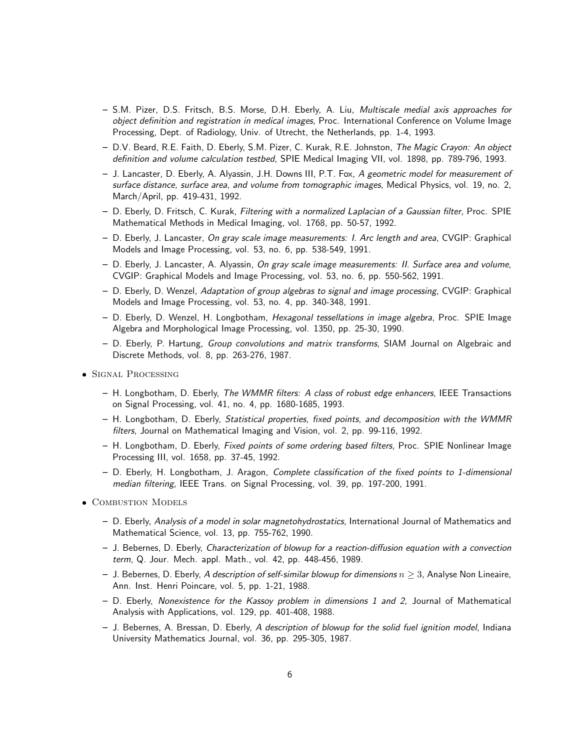- S.M. Pizer, D.S. Fritsch, B.S. Morse, D.H. Eberly, A. Liu, Multiscale medial axis approaches for object definition and registration in medical images, Proc. International Conference on Volume Image Processing, Dept. of Radiology, Univ. of Utrecht, the Netherlands, pp. 1-4, 1993.
- D.V. Beard, R.E. Faith, D. Eberly, S.M. Pizer, C. Kurak, R.E. Johnston, The Magic Crayon: An object definition and volume calculation testbed, SPIE Medical Imaging VII, vol. 1898, pp. 789-796, 1993.
- J. Lancaster, D. Eberly, A. Alyassin, J.H. Downs III, P.T. Fox, A geometric model for measurement of surface distance, surface area, and volume from tomographic images, Medical Physics, vol. 19, no. 2, March/April, pp. 419-431, 1992.
- D. Eberly, D. Fritsch, C. Kurak, Filtering with a normalized Laplacian of a Gaussian filter, Proc. SPIE Mathematical Methods in Medical Imaging, vol. 1768, pp. 50-57, 1992.
- D. Eberly, J. Lancaster, On gray scale image measurements: I. Arc length and area, CVGIP: Graphical Models and Image Processing, vol. 53, no. 6, pp. 538-549, 1991.
- D. Eberly, J. Lancaster, A. Alyassin, On gray scale image measurements: II. Surface area and volume, CVGIP: Graphical Models and Image Processing, vol. 53, no. 6, pp. 550-562, 1991.
- D. Eberly, D. Wenzel, Adaptation of group algebras to signal and image processing, CVGIP: Graphical Models and Image Processing, vol. 53, no. 4, pp. 340-348, 1991.
- D. Eberly, D. Wenzel, H. Longbotham, Hexagonal tessellations in image algebra, Proc. SPIE Image Algebra and Morphological Image Processing, vol. 1350, pp. 25-30, 1990.
- D. Eberly, P. Hartung, Group convolutions and matrix transforms, SIAM Journal on Algebraic and Discrete Methods, vol. 8, pp. 263-276, 1987.
- Signal Processing
	- H. Longbotham, D. Eberly, The WMMR filters: A class of robust edge enhancers, IEEE Transactions on Signal Processing, vol. 41, no. 4, pp. 1680-1685, 1993.
	- H. Longbotham, D. Eberly, Statistical properties, fixed points, and decomposition with the WMMR filters, Journal on Mathematical Imaging and Vision, vol. 2, pp. 99-116, 1992.
	- H. Longbotham, D. Eberly, Fixed points of some ordering based filters, Proc. SPIE Nonlinear Image Processing III, vol. 1658, pp. 37-45, 1992.
	- D. Eberly, H. Longbotham, J. Aragon, Complete classification of the fixed points to 1-dimensional median filtering, IEEE Trans. on Signal Processing, vol. 39, pp. 197-200, 1991.
- COMBUSTION MODELS
	- D. Eberly, Analysis of a model in solar magnetohydrostatics, International Journal of Mathematics and Mathematical Science, vol. 13, pp. 755-762, 1990.
	- J. Bebernes, D. Eberly, Characterization of blowup for a reaction-diffusion equation with a convection term, Q. Jour. Mech. appl. Math., vol. 42, pp. 448-456, 1989.
	- J. Bebernes, D. Eberly, A description of self-similar blowup for dimensions  $n \geq 3$ , Analyse Non Lineaire, Ann. Inst. Henri Poincare, vol. 5, pp. 1-21, 1988.
	- D. Eberly, Nonexistence for the Kassoy problem in dimensions 1 and 2, Journal of Mathematical Analysis with Applications, vol. 129, pp. 401-408, 1988.
	- J. Bebernes, A. Bressan, D. Eberly, A description of blowup for the solid fuel ignition model, Indiana University Mathematics Journal, vol. 36, pp. 295-305, 1987.